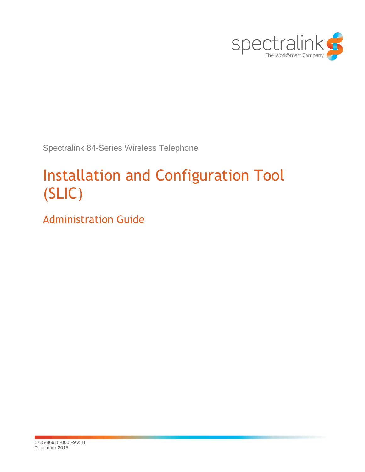

Spectralink 84-Series Wireless Telephone

# Installation and Configuration Tool (SLIC)

Administration Guide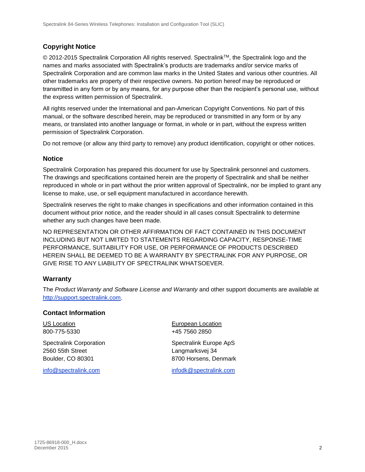#### **Copyright Notice**

© 2012-2015 Spectralink Corporation All rights reserved. SpectralinkTM, the Spectralink logo and the names and marks associated with Spectralink's products are trademarks and/or service marks of Spectralink Corporation and are common law marks in the United States and various other countries. All other trademarks are property of their respective owners. No portion hereof may be reproduced or transmitted in any form or by any means, for any purpose other than the recipient's personal use, without the express written permission of Spectralink.

All rights reserved under the International and pan-American Copyright Conventions. No part of this manual, or the software described herein, may be reproduced or transmitted in any form or by any means, or translated into another language or format, in whole or in part, without the express written permission of Spectralink Corporation.

Do not remove (or allow any third party to remove) any product identification, copyright or other notices.

#### **Notice**

Spectralink Corporation has prepared this document for use by Spectralink personnel and customers. The drawings and specifications contained herein are the property of Spectralink and shall be neither reproduced in whole or in part without the prior written approval of Spectralink, nor be implied to grant any license to make, use, or sell equipment manufactured in accordance herewith.

Spectralink reserves the right to make changes in specifications and other information contained in this document without prior notice, and the reader should in all cases consult Spectralink to determine whether any such changes have been made.

NO REPRESENTATION OR OTHER AFFIRMATION OF FACT CONTAINED IN THIS DOCUMENT INCLUDING BUT NOT LIMITED TO STATEMENTS REGARDING CAPACITY, RESPONSE-TIME PERFORMANCE, SUITABILITY FOR USE, OR PERFORMANCE OF PRODUCTS DESCRIBED HEREIN SHALL BE DEEMED TO BE A WARRANTY BY SPECTRALINK FOR ANY PURPOSE, OR GIVE RISE TO ANY LIABILITY OF SPECTRALINK WHATSOEVER.

#### **Warranty**

The *Product Warranty and Software License and Warranty* and other support documents are available at [http://support.spectralink.com.](http://support.spectralink.com/)

#### **Contact Information**

2560 55th Street Langmarksvej 34

US Location **European Location** 800-775-5330 +45 7560 2850

Spectralink Corporation **Spectraling Spectraling Spectraling Aps** Boulder, CO 80301 8700 Horsens, Denmark

[info@spectralink.com](mailto:info@spectralink.com) [infodk@spectralink.com](mailto:infodk@spectralink.com)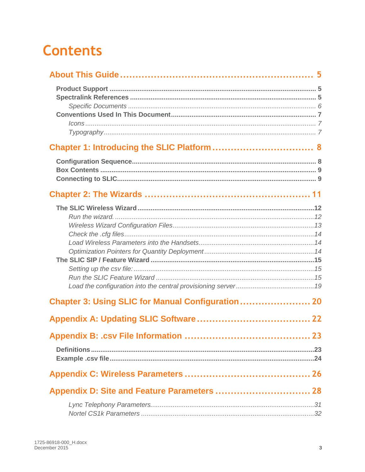# **Contents**

| Chapter 3: Using SLIC for Manual Configuration 20 |
|---------------------------------------------------|
|                                                   |
|                                                   |
|                                                   |
|                                                   |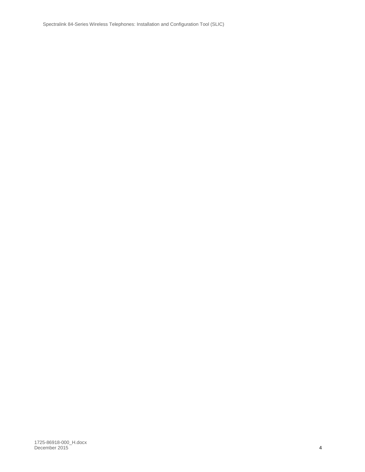Spectralink 84-Series Wireless Telephones: Installation and Configuration Tool (SLIC)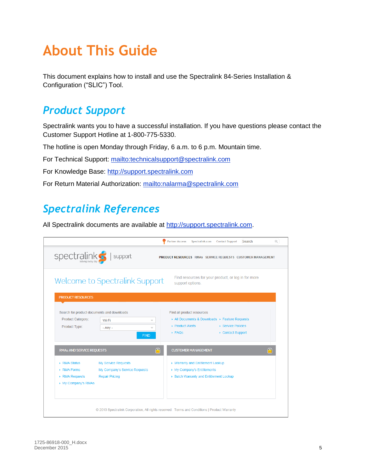# <span id="page-4-0"></span>**About This Guide**

This document explains how to install and use the Spectralink 84-Series Installation & Configuration ("SLIC") Tool.

### <span id="page-4-1"></span>*Product Support*

Spectralink wants you to have a successful installation. If you have questions please contact the Customer Support Hotline at 1-800-775-5330.

The hotline is open Monday through Friday, 6 a.m. to 6 p.m. Mountain time.

For Technical Support:<mailto:technicalsupport@spectralink.com>

For Knowledge Base: [http://support.spectralink.com](http://support.spectralink.com/)

<span id="page-4-2"></span>For Return Material Authorization:<mailto:nalarma@spectralink.com>

### *Spectralink References*

All Spectralink documents are available at [http://support.spectralink.com.](http://support.spectralink.com/)

|                                                                                                                                                     | $\mathbb{Q}$<br><b>Partner Access</b><br>Spectralink.com Contact Support<br>Search                                                                                 |  |  |  |  |
|-----------------------------------------------------------------------------------------------------------------------------------------------------|--------------------------------------------------------------------------------------------------------------------------------------------------------------------|--|--|--|--|
| spectralink   support                                                                                                                               | PRODUCT RESOURCES RMAs SERVICE REQUESTS CUSTOMER MANAGEMENT                                                                                                        |  |  |  |  |
| Find resources for your product, or log in for more<br>Welcome to Spectralink Support<br>support options.                                           |                                                                                                                                                                    |  |  |  |  |
| <b>PRODUCT RESOURCES</b>                                                                                                                            |                                                                                                                                                                    |  |  |  |  |
| Search for product documents and downloads<br><b>Product Category:</b><br>Wi-Fi<br>Product Type:<br>$-Anv -$<br><b>FIND</b>                         | Find all product resources<br>All Documents & Downloads > Feature Requests<br>▶ Product Alerts<br>▶ Service Policies<br>$\triangleright$ FAQs<br>▶ Contact Support |  |  |  |  |
| $\bigcap$<br><b>RMAS AND SERVICE REQUESTS</b>                                                                                                       | A<br><b>CUSTOMER MANAGEMENT</b>                                                                                                                                    |  |  |  |  |
| My Service Requests<br>▶ RMA Status<br>My Company's Service Requests<br>▶ RMA Forms<br>▶ RMA Requests<br><b>Repair Pricing</b><br>My Company's RMAs | ▶ Warranty and Entitlement Lookup<br>▶ My Company's Entitlements<br>▶ Batch Warranty and Entitlement Lookup                                                        |  |  |  |  |
| © 2013 Spectralink Corporation, All rights reserved. Terms and Conditions   Product Warranty                                                        |                                                                                                                                                                    |  |  |  |  |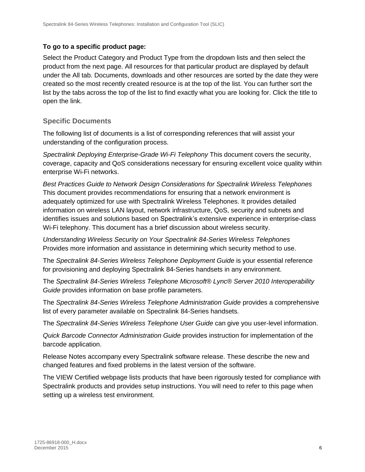#### **To go to a specific product page:**

Select the Product Category and Product Type from the dropdown lists and then select the product from the next page. All resources for that particular product are displayed by default under the All tab. Documents, downloads and other resources are sorted by the date they were created so the most recently created resource is at the top of the list. You can further sort the list by the tabs across the top of the list to find exactly what you are looking for. Click the title to open the link.

#### <span id="page-5-0"></span>**Specific Documents**

The following list of documents is a list of corresponding references that will assist your understanding of the configuration process.

*Spectralink Deploying Enterprise-Grade Wi-Fi Telephony* This document covers the security, coverage, capacity and QoS considerations necessary for ensuring excellent voice quality within enterprise Wi-Fi networks.

*Best Practices Guide to Network Design Considerations for Spectralink Wireless Telephones* This document provides recommendations for ensuring that a network environment is adequately optimized for use with Spectralink Wireless Telephones. It provides detailed information on wireless LAN layout, network infrastructure, QoS, security and subnets and identifies issues and solutions based on Spectralink's extensive experience in enterprise-class Wi-Fi telephony. This document has a brief discussion about wireless security.

*Understanding Wireless Security on Your Spectralink 84-Series Wireless Telephones* Provides more information and assistance in determining which security method to use.

The *Spectralink 84-Series Wireless Telephone Deployment Guide* is your essential reference for provisioning and deploying Spectralink 84-Series handsets in any environment.

The *Spectralink 84-Series Wireless Telephone Microsoft® Lync® Server 2010 Interoperability Guide* provides information on base profile parameters.

The *Spectralink 84-Series Wireless Telephone Administration Guide* provides a comprehensive list of every parameter available on Spectralink 84-Series handsets.

The *Spectralink 84-Series Wireless Telephone User Guide* can give you user-level information.

*Quick Barcode Connector Administration Guide* provides instruction for implementation of the barcode application.

Release Notes accompany every Spectralink software release. These describe the new and changed features and fixed problems in the latest version of the software.

The VIEW Certified webpage lists products that have been rigorously tested for compliance with Spectralink products and provides setup instructions. You will need to refer to this page when setting up a wireless test environment.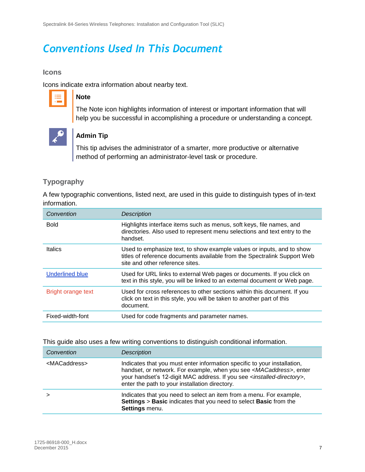### <span id="page-6-0"></span>*Conventions Used In This Document*

#### <span id="page-6-1"></span>**Icons**

Icons indicate extra information about nearby text.



### **Note**

The Note icon highlights information of interest or important information that will help you be successful in accomplishing a procedure or understanding a concept.

#### **Admin Tip**

This tip advises the administrator of a smarter, more productive or alternative method of performing an administrator-level task or procedure.

#### <span id="page-6-2"></span>**Typography**

A few typographic conventions, listed next, are used in this guide to distinguish types of in-text information.

| Convention                | <b>Description</b>                                                                                                                                                                   |
|---------------------------|--------------------------------------------------------------------------------------------------------------------------------------------------------------------------------------|
| <b>Bold</b>               | Highlights interface items such as menus, soft keys, file names, and<br>directories. Also used to represent menu selections and text entry to the<br>handset.                        |
| <b>Italics</b>            | Used to emphasize text, to show example values or inputs, and to show<br>titles of reference documents available from the Spectralink Support Web<br>site and other reference sites. |
| <b>Underlined blue</b>    | Used for URL links to external Web pages or documents. If you click on<br>text in this style, you will be linked to an external document or Web page.                                |
| <b>Bright orange text</b> | Used for cross references to other sections within this document. If you<br>click on text in this style, you will be taken to another part of this<br>document.                      |
| Fixed-width-font          | Used for code fragments and parameter names.                                                                                                                                         |

This guide also uses a few writing conventions to distinguish conditional information.

| Convention                | <b>Description</b>                                                                                                                                                                                                                                                                                              |
|---------------------------|-----------------------------------------------------------------------------------------------------------------------------------------------------------------------------------------------------------------------------------------------------------------------------------------------------------------|
| <macaddress></macaddress> | Indicates that you must enter information specific to your installation,<br>handset, or network. For example, when you see <macaddress>, enter<br/>your handset's 12-digit MAC address. If you see <installed-directory>,<br/>enter the path to your installation directory.</installed-directory></macaddress> |
|                           | Indicates that you need to select an item from a menu. For example,<br>Settings > Basic indicates that you need to select Basic from the<br>Settings menu.                                                                                                                                                      |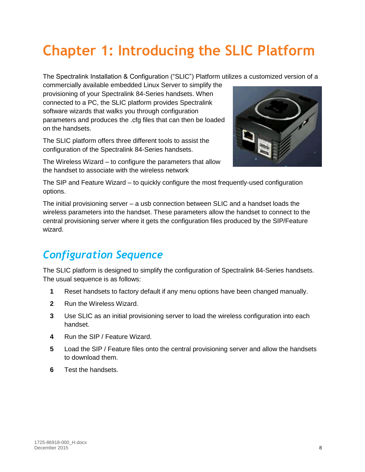# <span id="page-7-0"></span>**Chapter 1: Introducing the SLIC Platform**

The Spectralink Installation & Configuration ("SLIC") Platform utilizes a customized version of a

commercially available embedded Linux Server to simplify the provisioning of your Spectralink 84-Series handsets. When connected to a PC, the SLIC platform provides Spectralink software wizards that walks you through configuration parameters and produces the .cfg files that can then be loaded on the handsets.

The SLIC platform offers three different tools to assist the configuration of the Spectralink 84-Series handsets.

The Wireless Wizard – to configure the parameters that allow the handset to associate with the wireless network



The SIP and Feature Wizard – to quickly configure the most frequently-used configuration options.

The initial provisioning server – a usb connection between SLIC and a handset loads the wireless parameters into the handset. These parameters allow the handset to connect to the central provisioning server where it gets the configuration files produced by the SIP/Feature wizard.

## <span id="page-7-1"></span>*Configuration Sequence*

The SLIC platform is designed to simplify the configuration of Spectralink 84-Series handsets. The usual sequence is as follows:

- **1** Reset handsets to factory default if any menu options have been changed manually.
- **2** Run the Wireless Wizard.
- **3** Use SLIC as an initial provisioning server to load the wireless configuration into each handset.
- **4** Run the SIP / Feature Wizard.
- **5** Load the SIP / Feature files onto the central provisioning server and allow the handsets to download them.
- **6** Test the handsets.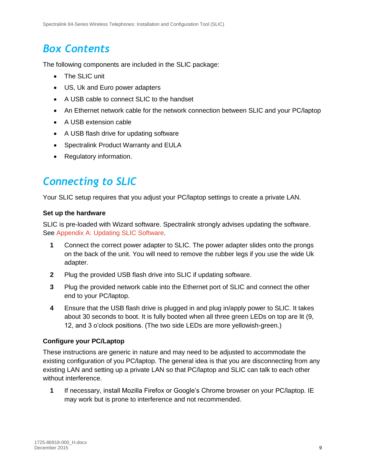### <span id="page-8-0"></span>*Box Contents*

The following components are included in the SLIC package:

- The SLIC unit
- US, Uk and Euro power adapters
- A USB cable to connect SLIC to the handset
- An Ethernet network cable for the network connection between SLIC and your PC/laptop
- A USB extension cable
- A USB flash drive for updating software
- Spectralink Product Warranty and EULA
- Regulatory information.

### <span id="page-8-1"></span>*Connecting to SLIC*

Your SLIC setup requires that you adjust your PC/laptop settings to create a private LAN.

#### **Set up the hardware**

SLIC is pre-loaded with Wizard software. Spectralink strongly advises updating the software. See [Appendix A: Updating SLIC Software.](#page-21-0)

- **1** Connect the correct power adapter to SLIC. The power adapter slides onto the prongs on the back of the unit. You will need to remove the rubber legs if you use the wide Uk adapter.
- **2** Plug the provided USB flash drive into SLIC if updating software.
- **3** Plug the provided network cable into the Ethernet port of SLIC and connect the other end to your PC/laptop.
- **4** Ensure that the USB flash drive is plugged in and plug in/apply power to SLIC. It takes about 30 seconds to boot. It is fully booted when all three green LEDs on top are lit (9, 12, and 3 o'clock positions. (The two side LEDs are more yellowish-green.)

#### **Configure your PC/Laptop**

These instructions are generic in nature and may need to be adjusted to accommodate the existing configuration of you PC/laptop. The general idea is that you are disconnecting from any existing LAN and setting up a private LAN so that PC/laptop and SLIC can talk to each other without interference.

**1** If necessary, install Mozilla Firefox or Google's Chrome browser on your PC/laptop. IE may work but is prone to interference and not recommended.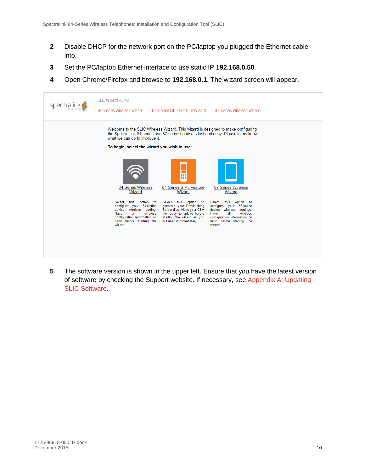- **2** Disable DHCP for the network port on the PC/laptop you plugged the Ethernet cable into.
- **3** Set the PC/laptop Ethernet interface to use static IP **192.168.0.50**.
- **4** Open Chrome/Firefox and browse to **192.168.0.1**. The wizard screen will appear.

| spectra                                                                                                                                                                                                                                                 | SLIC Wizard v3.42<br>84-Series Wireless Wizard 84-Series SIP / Feature Wizard<br>87-Series Wireless Wizard                                                                                                                                                                                                                                                                                                                                                                                                                                             |  |  |  |  |  |
|---------------------------------------------------------------------------------------------------------------------------------------------------------------------------------------------------------------------------------------------------------|--------------------------------------------------------------------------------------------------------------------------------------------------------------------------------------------------------------------------------------------------------------------------------------------------------------------------------------------------------------------------------------------------------------------------------------------------------------------------------------------------------------------------------------------------------|--|--|--|--|--|
| Welcome to the SLIC Wireless Wizard. This wizard is designed to make configuring<br>the SpectraLink 84-series and 87-series handsets fast and easy. Please let us know<br>what we can do to improve it.<br>To begin, select the wizard you wish to use: |                                                                                                                                                                                                                                                                                                                                                                                                                                                                                                                                                        |  |  |  |  |  |
|                                                                                                                                                                                                                                                         | 84-Series Wireless<br>84-Series SIP / Feature<br>87-Series Wireless<br>Wizard<br>Wizard<br>Wizard                                                                                                                                                                                                                                                                                                                                                                                                                                                      |  |  |  |  |  |
|                                                                                                                                                                                                                                                         | Select this option to<br>Select this option to<br>this option to<br>Select<br>configure your 84-Series<br>generate your Provisioning<br>configure vour 87-series<br>Server files. Have your CSV<br>device wireless settings.<br>device wireless setting.<br>file ready to upload before<br>Have<br>all<br>wireless<br>Have<br>all<br>wireless<br>starting the wizard as you<br>configuration information on<br>configuration information on<br>will need it immediately.<br>hand before starting the<br>hand before starting the<br>wizard.<br>wizard. |  |  |  |  |  |
|                                                                                                                                                                                                                                                         |                                                                                                                                                                                                                                                                                                                                                                                                                                                                                                                                                        |  |  |  |  |  |

**5** The software version is shown in the upper left. Ensure that you have the latest version of software by checking the Support website. If necessary, see [Appendix A: Updating](#page-21-0)  [SLIC Software.](#page-21-0)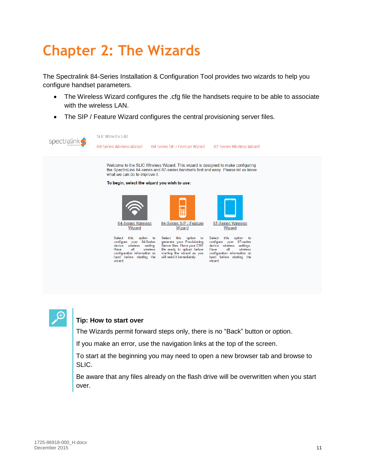# <span id="page-10-0"></span>**Chapter 2: The Wizards**

The Spectralink 84-Series Installation & Configuration Tool provides two wizards to help you configure handset parameters.

- The Wireless Wizard configures the .cfg file the handsets require to be able to associate with the wireless LAN.
- The SIP / Feature Wizard configures the central provisioning server files.

| spectral | SLIC Wizard v3.42<br>84-Series Wireless Wizard                                                                                                                                                                               | 84-Series SIP / Feature Wizard                                                                                                                                                                                            | 87-Series Wireless Wizard                                                                                                                                                                                                     |  |
|----------|------------------------------------------------------------------------------------------------------------------------------------------------------------------------------------------------------------------------------|---------------------------------------------------------------------------------------------------------------------------------------------------------------------------------------------------------------------------|-------------------------------------------------------------------------------------------------------------------------------------------------------------------------------------------------------------------------------|--|
|          | Welcome to the SLIC Wireless Wizard. This wizard is designed to make configuring<br>what we can do to improve it.<br>To begin, select the wizard you wish to use:                                                            |                                                                                                                                                                                                                           | the SpectraLink 84-series and 87-series handsets fast and easy. Please let us know                                                                                                                                            |  |
|          | 84-Series Wireless<br><b>Wizard</b><br>this option to<br>Select<br>configure your 84-Series<br>device<br>wireless setting.<br>wireless<br>Have<br>all<br>configuration information on<br>hand before starting the<br>wizard. | ⊞<br>84-Series SIP / Feature<br>Wizard<br>Select this<br>option to<br>generate your Provisioning<br>Server files. Have your CSV<br>file ready to upload before<br>starting the wizard as you<br>will need it immediately. | 87-Series Wireless<br><b>Wizard</b><br>this<br>option to<br>Select<br>configure your 87-series<br>device wireless settings.<br>wireless<br>all<br>Have<br>configuration information on<br>hand before starting the<br>wizard. |  |



#### **Tip: How to start over**

The Wizards permit forward steps only, there is no "Back" button or option.

If you make an error, use the navigation links at the top of the screen.

To start at the beginning you may need to open a new browser tab and browse to SLIC.

Be aware that any files already on the flash drive will be overwritten when you start over.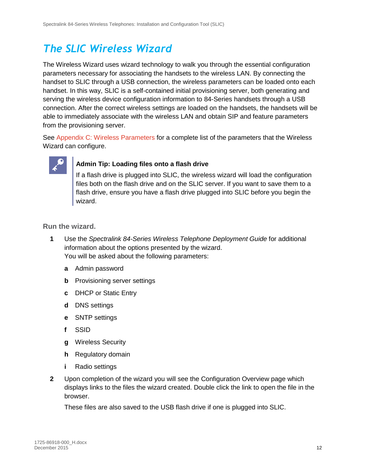## <span id="page-11-0"></span>*The SLIC Wireless Wizard*

The Wireless Wizard uses wizard technology to walk you through the essential configuration parameters necessary for associating the handsets to the wireless LAN. By connecting the handset to SLIC through a USB connection, the wireless parameters can be loaded onto each handset. In this way, SLIC is a self-contained initial provisioning server, both generating and serving the wireless device configuration information to 84-Series handsets through a USB connection. After the correct wireless settings are loaded on the handsets, the handsets will be able to immediately associate with the wireless LAN and obtain SIP and feature parameters from the provisioning server.

See [Appendix C: Wireless Parameters](#page-25-0) for a complete list of the parameters that the Wireless Wizard can configure.

#### **Admin Tip: Loading files onto a flash drive**

If a flash drive is plugged into SLIC, the wireless wizard will load the configuration files both on the flash drive and on the SLIC server. If you want to save them to a flash drive, ensure you have a flash drive plugged into SLIC before you begin the wizard.

<span id="page-11-1"></span>**Run the wizard.**

- **1** Use the *Spectralink 84-Series Wireless Telephone Deployment Guide* for additional information about the options presented by the wizard. You will be asked about the following parameters:
	- **a** Admin password
	- **b** Provisioning server settings
	- **c** DHCP or Static Entry
	- **d** DNS settings
	- **e** SNTP settings
	- **f** SSID
	- **g** Wireless Security
	- **h** Regulatory domain
	- **i** Radio settings
- **2** Upon completion of the wizard you will see the Configuration Overview page which displays links to the files the wizard created. Double click the link to open the file in the browser.

These files are also saved to the USB flash drive if one is plugged into SLIC.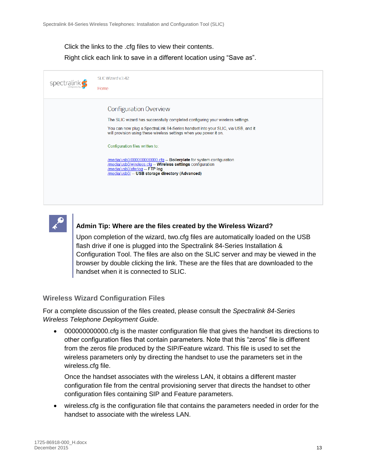Click the links to the .cfg files to view their contents. Right click each link to save in a different location using "Save as".





#### **Admin Tip: Where are the files created by the Wireless Wizard?**

Upon completion of the wizard, two.cfg files are automatically loaded on the USB flash drive if one is plugged into the Spectralink 84-Series Installation & Configuration Tool. The files are also on the SLIC server and may be viewed in the browser by double clicking the link. These are the files that are downloaded to the handset when it is connected to SLIC.

#### <span id="page-12-0"></span>**Wireless Wizard Configuration Files**

For a complete discussion of the files created, please consult the *Spectralink 84-Series Wireless Telephone Deployment Guide*.

 000000000000.cfg is the master configuration file that gives the handset its directions to other configuration files that contain parameters. Note that this "zeros" file is different from the zeros file produced by the SIP/Feature wizard. This file is used to set the wireless parameters only by directing the handset to use the parameters set in the wireless.cfg file.

Once the handset associates with the wireless LAN, it obtains a different master configuration file from the central provisioning server that directs the handset to other configuration files containing SIP and Feature parameters.

 wireless.cfg is the configuration file that contains the parameters needed in order for the handset to associate with the wireless LAN.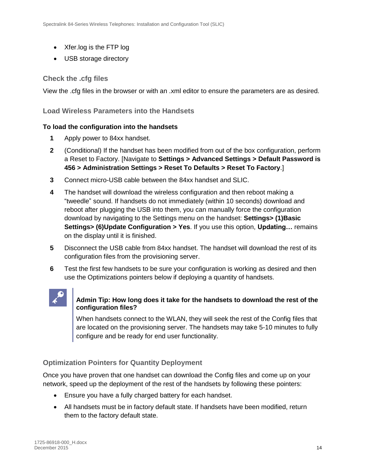- Xfer.log is the FTP log
- USB storage directory

#### <span id="page-13-0"></span>**Check the .cfg files**

<span id="page-13-1"></span>View the .cfg files in the browser or with an .xml editor to ensure the parameters are as desired.

#### **Load Wireless Parameters into the Handsets**

#### **To load the configuration into the handsets**

- **1** Apply power to 84xx handset.
- **2** (Conditional) If the handset has been modified from out of the box configuration, perform a Reset to Factory. [Navigate to **Settings > Advanced Settings > Default Password is 456 > Administration Settings > Reset To Defaults > Reset To Factory**.]
- **3** Connect micro-USB cable between the 84xx handset and SLIC.
- **4** The handset will download the wireless configuration and then reboot making a "tweedle" sound. If handsets do not immediately (within 10 seconds) download and reboot after plugging the USB into them, you can manually force the configuration download by navigating to the Settings menu on the handset: **Settings> (1)Basic Settings> (6)Update Configuration > Yes**. If you use this option, **Updating…** remains on the display until it is finished.
- **5** Disconnect the USB cable from 84xx handset. The handset will download the rest of its configuration files from the provisioning server.
- **6** Test the first few handsets to be sure your configuration is working as desired and then use the Optimizations pointers below if deploying a quantity of handsets.

#### **Admin Tip: How long does it take for the handsets to download the rest of the configuration files?**

When handsets connect to the WLAN, they will seek the rest of the Config files that are located on the provisioning server. The handsets may take 5-10 minutes to fully configure and be ready for end user functionality.

#### <span id="page-13-2"></span>**Optimization Pointers for Quantity Deployment**

Once you have proven that one handset can download the Config files and come up on your network, speed up the deployment of the rest of the handsets by following these pointers:

- Ensure you have a fully charged battery for each handset.
- All handsets must be in factory default state. If handsets have been modified, return them to the factory default state.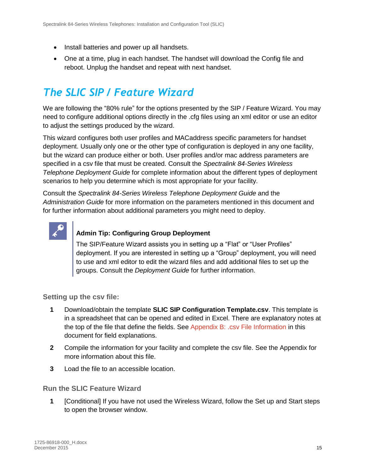- Install batteries and power up all handsets.
- One at a time, plug in each handset. The handset will download the Config file and reboot. Unplug the handset and repeat with next handset.

### <span id="page-14-0"></span>*The SLIC SIP / Feature Wizard*

We are following the "80% rule" for the options presented by the SIP / Feature Wizard. You may need to configure additional options directly in the .cfg files using an xml editor or use an editor to adjust the settings produced by the wizard.

This wizard configures both user profiles and MACaddress specific parameters for handset deployment. Usually only one or the other type of configuration is deployed in any one facility, but the wizard can produce either or both. User profiles and/or mac address parameters are specified in a csv file that must be created. Consult the *Spectralink 84-Series Wireless Telephone Deployment Guide* for complete information about the different types of deployment scenarios to help you determine which is most appropriate for your facility.

Consult the *Spectralink 84-Series Wireless Telephone Deployment Guide* and the *Administration Guide* for more information on the parameters mentioned in this document and for further information about additional parameters you might need to deploy.



#### **Admin Tip: Configuring Group Deployment**

The SIP/Feature Wizard assists you in setting up a "Flat" or "User Profiles" deployment. If you are interested in setting up a "Group" deployment, you will need to use and xml editor to edit the wizard files and add additional files to set up the groups. Consult the *Deployment Guide* for further information.

<span id="page-14-1"></span>**Setting up the csv file:**

- **1** Download/obtain the template **SLIC SIP Configuration Template.csv**. This template is in a spreadsheet that can be opened and edited in Excel. There are explanatory notes at the top of the file that define the fields. See [Appendix B: .csv File Information](#page-22-0) in this document for field explanations.
- **2** Compile the information for your facility and complete the csv file. See the Appendix for more information about this file.
- **3** Load the file to an accessible location.

#### <span id="page-14-2"></span>**Run the SLIC Feature Wizard**

**1** [Conditional] If you have not used the Wireless Wizard, follow the Set up and Start steps to open the browser window.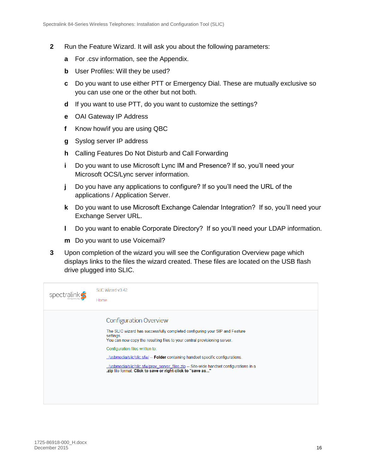- **2** Run the Feature Wizard. It will ask you about the following parameters:
	- **a** For .csv information, see the Appendix.
	- **b** User Profiles: Will they be used?
	- **c** Do you want to use either PTT or Emergency Dial. These are mutually exclusive so you can use one or the other but not both.
	- **d** If you want to use PTT, do you want to customize the settings?
	- **e** OAI Gateway IP Address
	- **f** Know how/if you are using QBC
	- **g** Syslog server IP address
	- **h** Calling Features Do Not Disturb and Call Forwarding
	- **i** Do you want to use Microsoft Lync IM and Presence? If so, you'll need your Microsoft OCS/Lync server information.
	- **j** Do you have any applications to configure? If so you'll need the URL of the applications / Application Server.
	- **k** Do you want to use Microsoft Exchange Calendar Integration? If so, you'll need your Exchange Server URL.
	- **l** Do you want to enable Corporate Directory? If so you'll need your LDAP information.
	- **m** Do you want to use Voicemail?
- **3** Upon completion of the wizard you will see the Configuration Overview page which displays links to the files the wizard created. These files are located on the USB flash drive plugged into SLIC.

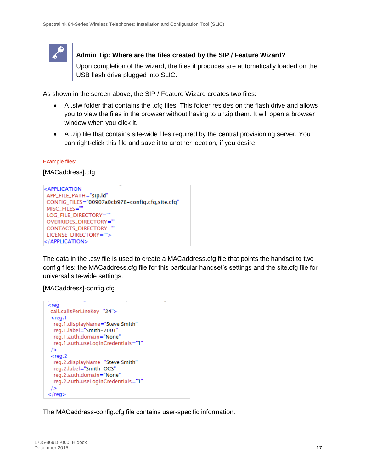

#### **Admin Tip: Where are the files created by the SIP / Feature Wizard?**

Upon completion of the wizard, the files it produces are automatically loaded on the USB flash drive plugged into SLIC.

As shown in the screen above, the SIP / Feature Wizard creates two files:

- A .sfw folder that contains the .cfg files. This folder resides on the flash drive and allows you to view the files in the browser without having to unzip them. It will open a browser window when you click it.
- A .zip file that contains site-wide files required by the central provisioning server. You can right-click this file and save it to another location, if you desire.

#### Example files:

[MACaddress].cfg

```
<APPLICATION
APP_FILE_PATH="sip.Id"
CONFIG_FILES="00907a0cb978-config.cfg,site.cfg"
MISC_FILES=""
LOG_FILE_DIRECTORY=""
OVERRIDES_DIRECTORY=""
CONTACTS DIRECTORY=""
LICENSE_DIRECTORY="">
</APPLICATION>
```
The data in the .csv file is used to create a MACaddress.cfg file that points the handset to two config files: the MACaddress.cfg file for this particular handset's settings and the site.cfg file for universal site-wide settings.

[MACaddress]-config.cfg

```
<reg
call.callsPerLineKey="24">
 <reg.1
 reg.1.displayName="Steve Smith"
 reg.1.label="Smith-7001"
 reg.1.auth.domain="None"
 reg.1.auth.useLoginCredentials="1"
 /<reg.2
 reg.2.displayName="Steve Smith"
 reg.2.label="Smith-OCS"
 reg.2.auth.domain="None"
 reg.2.auth.useLoginCredentials="1"
 /\lt/reg>
```
The MACaddress-config.cfg file contains user-specific information.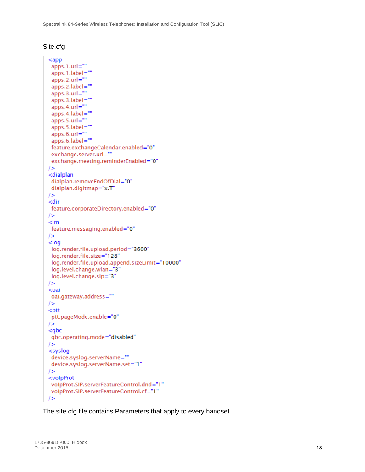| <app< th=""></app<>                                |
|----------------------------------------------------|
| apps.1.url=""                                      |
| apps.1.label=""                                    |
| apps.2.url=""                                      |
| apps.2.label=""                                    |
| apps.3.url=""                                      |
| apps.3.label=""                                    |
| apps.4.url=""                                      |
| apps.4.label=""                                    |
| apps.5.url=""                                      |
| apps.5.label=""                                    |
| apps.6.url=""                                      |
| apps.6.label=""                                    |
| feature.exchangeCalendar.enabled="0"               |
| exchange.server.url=""                             |
| exchange.meeting.reminderEnabled="0"               |
| />                                                 |
| <dialplan< td=""></dialplan<>                      |
| dialplan.removeEndOfDial="0"                       |
| dialplan.digitmap="x.T"                            |
| $\rightarrow$                                      |
| <dir< td=""></dir<>                                |
| feature.corporateDirectory.enabled="0"             |
| />                                                 |
| <im< td=""></im<>                                  |
| feature.messaging.enabled="0"                      |
| />                                                 |
| $log$                                              |
| log.render.file.upload.period="3600"               |
| log.render.file.size="128"                         |
| log.render.file.upload.append.sizeLimit="10000"    |
| log.level.change.wlan="3"                          |
| log.level.change.sip="3"                           |
| />                                                 |
| <oai< td=""></oai<>                                |
| oai.gateway.address=""                             |
|                                                    |
| /><br>$<$ ptt                                      |
| ptt.pageMode.enable="0"                            |
| />                                                 |
|                                                    |
| <qbc<br>qbc.operating.mode="disabled"</qbc<br>     |
|                                                    |
| />                                                 |
| <syslog<br>device.syslog.serverName=""</syslog<br> |
|                                                    |
| device.syslog.serverName.set="1"                   |
| />                                                 |
| <volpprot< td=""></volpprot<>                      |
| volpProt.SIP.serverFeatureControl.dnd="1"          |
| volpProt.SIP.serverFeatureControl.cf="1"           |
| />                                                 |

The site.cfg file contains Parameters that apply to every handset.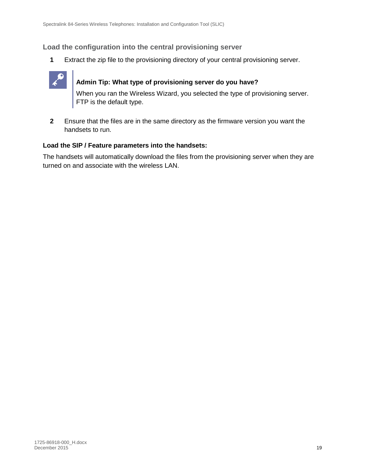<span id="page-18-0"></span>**Load the configuration into the central provisioning server**

**1** Extract the zip file to the provisioning directory of your central provisioning server.



#### **Admin Tip: What type of provisioning server do you have?**

When you ran the Wireless Wizard, you selected the type of provisioning server. FTP is the default type.

**2** Ensure that the files are in the same directory as the firmware version you want the handsets to run.

#### **Load the SIP / Feature parameters into the handsets:**

The handsets will automatically download the files from the provisioning server when they are turned on and associate with the wireless LAN.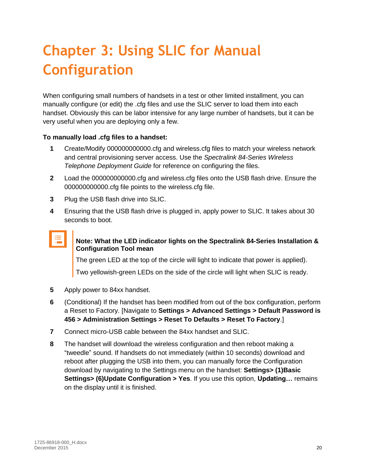# <span id="page-19-0"></span>**Chapter 3: Using SLIC for Manual Configuration**

When configuring small numbers of handsets in a test or other limited installment, you can manually configure (or edit) the .cfg files and use the SLIC server to load them into each handset. Obviously this can be labor intensive for any large number of handsets, but it can be very useful when you are deploying only a few.

#### **To manually load .cfg files to a handset:**

- **1** Create/Modify 000000000000.cfg and wireless.cfg files to match your wireless network and central provisioning server access. Use the *Spectralink 84-Series Wireless Telephone Deployment Guide* for reference on configuring the files.
- **2** Load the 000000000000.cfg and wireless.cfg files onto the USB flash drive. Ensure the 000000000000.cfg file points to the wireless.cfg file.
- **3** Plug the USB flash drive into SLIC.
- **4** Ensuring that the USB flash drive is plugged in, apply power to SLIC. It takes about 30 seconds to boot.

#### **Note: What the LED indicator lights on the Spectralink 84-Series Installation & Configuration Tool mean**

The green LED at the top of the circle will light to indicate that power is applied).

Two yellowish-green LEDs on the side of the circle will light when SLIC is ready.

- **5** Apply power to 84xx handset.
- **6** (Conditional) If the handset has been modified from out of the box configuration, perform a Reset to Factory. [Navigate to **Settings > Advanced Settings > Default Password is 456 > Administration Settings > Reset To Defaults > Reset To Factory**.]
- **7** Connect micro-USB cable between the 84xx handset and SLIC.
- **8** The handset will download the wireless configuration and then reboot making a "tweedle" sound. If handsets do not immediately (within 10 seconds) download and reboot after plugging the USB into them, you can manually force the Configuration download by navigating to the Settings menu on the handset: **Settings> (1)Basic Settings> (6)Update Configuration > Yes**. If you use this option, **Updating…** remains on the display until it is finished.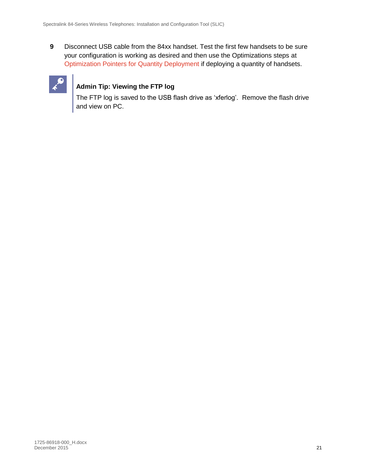**9** Disconnect USB cable from the 84xx handset. Test the first few handsets to be sure your configuration is working as desired and then use the Optimizations steps at [Optimization Pointers for Quantity Deployment](#page-13-2) if deploying a quantity of handsets.



### **Admin Tip: Viewing the FTP log**

The FTP log is saved to the USB flash drive as 'xferlog'. Remove the flash drive and view on PC.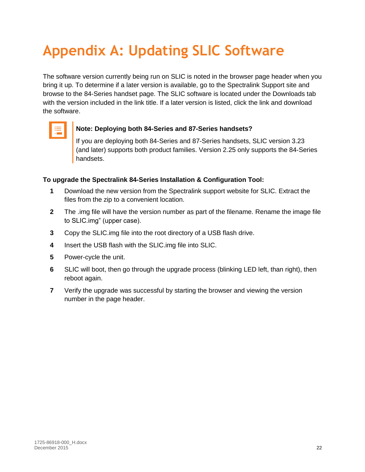# <span id="page-21-0"></span>**Appendix A: Updating SLIC Software**

The software version currently being run on SLIC is noted in the browser page header when you bring it up. To determine if a later version is available, go to the Spectralink Support site and browse to the 84-Series handset page. The SLIC software is located under the Downloads tab with the version included in the link title. If a later version is listed, click the link and download the software.

| ________ |  |
|----------|--|
| ______   |  |
|          |  |
|          |  |
|          |  |
|          |  |
|          |  |
|          |  |
|          |  |
|          |  |

#### **Note: Deploying both 84-Series and 87-Series handsets?**

If you are deploying both 84-Series and 87-Series handsets, SLIC version 3.23 (and later) supports both product families. Version 2.25 only supports the 84-Series handsets.

#### **To upgrade the Spectralink 84-Series Installation & Configuration Tool:**

- **1** Download the new version from the Spectralink support website for SLIC. Extract the files from the zip to a convenient location.
- **2** The .img file will have the version number as part of the filename. Rename the image file to SLIC.img" (upper case).
- **3** Copy the SLIC.img file into the root directory of a USB flash drive.
- **4** Insert the USB flash with the SLIC.img file into SLIC.
- **5** Power-cycle the unit.
- **6** SLIC will boot, then go through the upgrade process (blinking LED left, than right), then reboot again.
- **7** Verify the upgrade was successful by starting the browser and viewing the version number in the page header.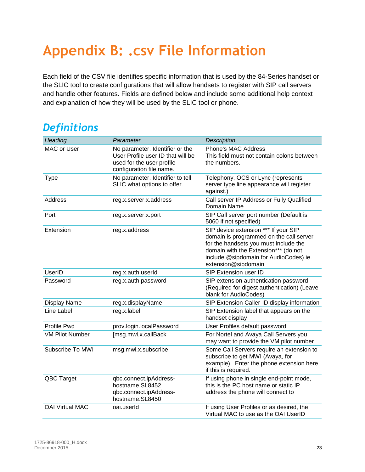# <span id="page-22-0"></span>**Appendix B: .csv File Information**

Each field of the CSV file identifies specific information that is used by the 84-Series handset or the SLIC tool to create configurations that will allow handsets to register with SIP call servers and handle other features. Fields are defined below and include some additional help context and explanation of how they will be used by the SLIC tool or phone.

## <span id="page-22-1"></span>*Definitions*

| Heading                | Parameter                                                                                                                                                                                                                                          | <b>Description</b>                                                                                                                                |  |
|------------------------|----------------------------------------------------------------------------------------------------------------------------------------------------------------------------------------------------------------------------------------------------|---------------------------------------------------------------------------------------------------------------------------------------------------|--|
| MAC or User            | No parameter. Identifier or the<br>User Profile user ID that will be<br>used for the user profile<br>configuration file name.                                                                                                                      | <b>Phone's MAC Address</b><br>This field must not contain colons between<br>the numbers.                                                          |  |
| <b>Type</b>            | No parameter. Identifier to tell<br>SLIC what options to offer.                                                                                                                                                                                    | Telephony, OCS or Lync (represents<br>server type line appearance will register<br>against.)                                                      |  |
| <b>Address</b>         | reg.x.server.x.address                                                                                                                                                                                                                             | Call server IP Address or Fully Qualified<br>Domain Name                                                                                          |  |
| Port                   | reg.x.server.x.port                                                                                                                                                                                                                                | SIP Call server port number (Default is<br>5060 if not specified)                                                                                 |  |
| Extension              | SIP device extension *** If your SIP<br>reg.x.address<br>domain is programmed on the call server<br>for the handsets you must include the<br>domain with the Extension*** (do not<br>include @sipdomain for AudioCodes) ie.<br>extension@sipdomain |                                                                                                                                                   |  |
| UserID                 | reg.x.auth.userId                                                                                                                                                                                                                                  | SIP Extension user ID                                                                                                                             |  |
| Password               | reg.x.auth.password                                                                                                                                                                                                                                | SIP extension authentication password<br>(Required for digest authentication) (Leave<br>blank for AudioCodes)                                     |  |
| <b>Display Name</b>    | reg.x.displayName                                                                                                                                                                                                                                  | SIP Extension Caller-ID display information                                                                                                       |  |
| Line Label             | reg.x.label                                                                                                                                                                                                                                        | SIP Extension label that appears on the<br>handset display                                                                                        |  |
| Profile Pwd            | prov.login.localPassword                                                                                                                                                                                                                           | User Profiles default password                                                                                                                    |  |
| <b>VM Pilot Number</b> | [msg.mwi.x.callBack                                                                                                                                                                                                                                | For Nortel and Avaya Call Servers you<br>may want to provide the VM pilot number                                                                  |  |
| Subscribe To MWI       | msg.mwi.x.subscribe                                                                                                                                                                                                                                | Some Call Servers require an extension to<br>subscribe to get MWI (Avaya, for<br>example). Enter the phone extension here<br>if this is required. |  |
| QBC Target             | qbc.connect.ipAddress-<br>hostname.SL8452<br>qbc.connect.ipAddress-<br>hostname.SL8450                                                                                                                                                             | If using phone in single end-point mode,<br>this is the PC host name or static IP<br>address the phone will connect to                            |  |
| <b>OAI Virtual MAC</b> | oai.userld                                                                                                                                                                                                                                         | If using User Profiles or as desired, the<br>Virtual MAC to use as the OAI UserID                                                                 |  |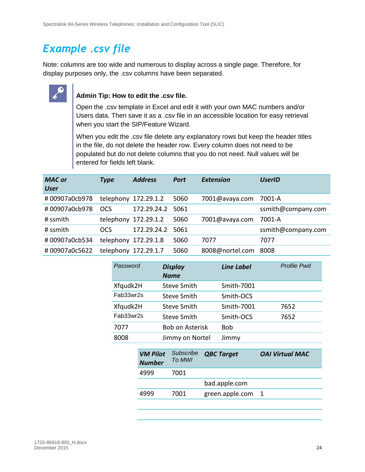### <span id="page-23-0"></span>*Example .csv file*

Note: columns are too wide and numerous to display across a single page. Therefore, for display purposes only, the .csv columns have been separated.



#### **Admin Tip: How to edit the .csv file.**

Open the .csv template in Excel and edit it with your own MAC numbers and/or Users data. Then save it as a .csv file in an accessible location for easy retrieval when you start the SIP/Feature Wizard.

When you edit the .csv file delete any explanatory rows but keep the header titles in the file, do not delete the header row. Every column does not need to be populated but do not delete columns that you do not need. Null values will be entered for fields left blank.

| <b>MAC</b> or<br><b>User</b> | <b>Type</b> | <b>Address</b>       | Port | <b>Extension</b> | <b>UserID</b>      |
|------------------------------|-------------|----------------------|------|------------------|--------------------|
| #00907a0cb978                |             | telephony 172.29.1.2 | 5060 | 7001@avaya.com   | 7001-A             |
| #00907a0cb978                | <b>OCS</b>  | 172.29.24.2          | 5061 |                  | ssmith@company.com |
| # ssmith                     |             | telephony 172.29.1.2 | 5060 | 7001@avaya.com   | 7001-A             |
| # ssmith                     | <b>OCS</b>  | 172.29.24.2          | 5061 |                  | ssmith@company.com |
| #00907a0cb534                |             | telephony 172.29.1.8 | 5060 | 7077             | 7077               |
| #00907a0c5622                |             | telephony 172.29.1.7 | 5060 | 8008@nortel.com  | 8008               |

| <b>Display</b><br>Name | <b>Line Label</b>                | <b>Profile Pwd</b>                                           |
|------------------------|----------------------------------|--------------------------------------------------------------|
| <b>Steve Smith</b>     | Smith-7001                       |                                                              |
| <b>Steve Smith</b>     | Smith-OCS                        |                                                              |
| <b>Steve Smith</b>     | Smith-7001                       | 7652                                                         |
| <b>Steve Smith</b>     | Smith-OCS                        | 7652                                                         |
|                        | Bob                              |                                                              |
|                        | Jimmy                            |                                                              |
| Subscribe<br>To MWI    | <b>QBC Target</b>                | <b>OAI Virtual MAC</b>                                       |
| 7001                   |                                  |                                                              |
|                        | bad.apple.com                    |                                                              |
| 7001                   |                                  | 1                                                            |
|                        | <b>VM Pilot</b><br><b>Number</b> | <b>Bob on Asterisk</b><br>Jimmy on Nortel<br>green.apple.com |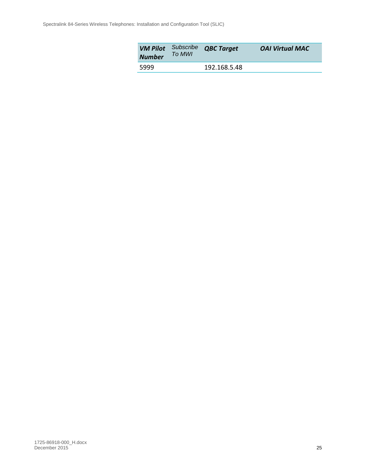| <b>VM Pilot</b><br><b>Number</b> | To MWI | Subscribe <b>QBC Target</b> | <b>OAI Virtual MAC</b> |
|----------------------------------|--------|-----------------------------|------------------------|
| 5999                             |        | 192.168.5.48                |                        |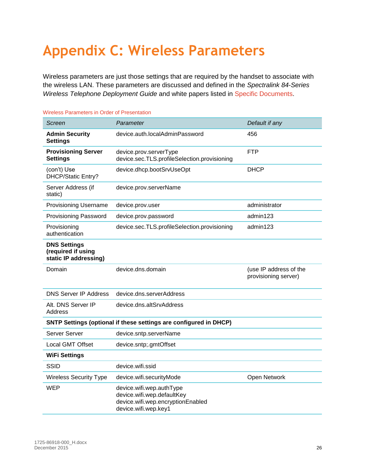# <span id="page-25-0"></span>**Appendix C: Wireless Parameters**

Wireless parameters are just those settings that are required by the handset to associate with the wireless LAN. These parameters are discussed and defined in the *Spectralink 84-Series Wireless Telephone Deployment Guide* and white papers listed in [Specific Documents.](#page-5-0)

| Screen                                                             | Parameter                                                                                                           | Default if any                                 |
|--------------------------------------------------------------------|---------------------------------------------------------------------------------------------------------------------|------------------------------------------------|
| <b>Admin Security</b><br><b>Settings</b>                           | device.auth.localAdminPassword                                                                                      | 456                                            |
| <b>Provisioning Server</b><br><b>Settings</b>                      | device.prov.serverType<br>device.sec.TLS.profileSelection.provisioning                                              | <b>FTP</b>                                     |
| (con't) Use<br>DHCP/Static Entry?                                  | device.dhcp.bootSrvUseOpt                                                                                           | <b>DHCP</b>                                    |
| Server Address (if<br>static)                                      | device.prov.serverName                                                                                              |                                                |
| <b>Provisioning Username</b>                                       | device.prov.user                                                                                                    | administrator                                  |
| <b>Provisioning Password</b>                                       | device.prov.password                                                                                                | admin123                                       |
| Provisioning<br>authentication                                     | device.sec.TLS.profileSelection.provisioning                                                                        | admin123                                       |
| <b>DNS Settings</b><br>(required if using<br>static IP addressing) |                                                                                                                     |                                                |
| Domain                                                             | device.dns.domain                                                                                                   | (use IP address of the<br>provisioning server) |
| <b>DNS Server IP Address</b>                                       | device.dns.serverAddress                                                                                            |                                                |
| Alt. DNS Server IP<br>Address                                      | device.dns.altSrvAddress                                                                                            |                                                |
|                                                                    | SNTP Settings (optional if these settings are configured in DHCP)                                                   |                                                |
| <b>Server Server</b>                                               | device.sntp.serverName                                                                                              |                                                |
| <b>Local GMT Offset</b>                                            | device.sntp;.gmtOffset                                                                                              |                                                |
| <b>WiFi Settings</b>                                               |                                                                                                                     |                                                |
| <b>SSID</b>                                                        | device wifi ssid                                                                                                    |                                                |
| <b>Wireless Security Type</b>                                      | device.wifi.securityMode                                                                                            | Open Network                                   |
| <b>WEP</b>                                                         | device.wifi.wep.authType<br>device.wifi.wep.defaultKey<br>device.wifi.wep.encryptionEnabled<br>device.wifi.wep.key1 |                                                |

#### Wireless Parameters in Order of Presentation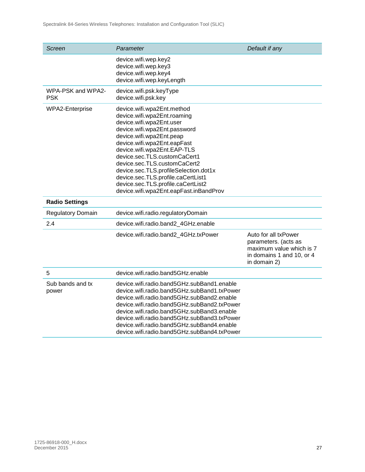| Screen                          | Parameter                                                                                                                                                                                                                                                                                                                                                                                                                                      | Default if any                                                                                                        |
|---------------------------------|------------------------------------------------------------------------------------------------------------------------------------------------------------------------------------------------------------------------------------------------------------------------------------------------------------------------------------------------------------------------------------------------------------------------------------------------|-----------------------------------------------------------------------------------------------------------------------|
|                                 | device.wifi.wep.key2<br>device.wifi.wep.key3<br>device.wifi.wep.key4<br>device.wifi.wep.keyLength                                                                                                                                                                                                                                                                                                                                              |                                                                                                                       |
| WPA-PSK and WPA2-<br><b>PSK</b> | device.wifi.psk.keyType<br>device.wifi.psk.key                                                                                                                                                                                                                                                                                                                                                                                                 |                                                                                                                       |
| WPA2-Enterprise                 | device.wifi.wpa2Ent.method<br>device.wifi.wpa2Ent.roaming<br>device.wifi.wpa2Ent.user<br>device.wifi.wpa2Ent.password<br>device.wifi.wpa2Ent.peap<br>device.wifi.wpa2Ent.eapFast<br>device.wifi.wpa2Ent.EAP-TLS<br>device.sec.TLS.customCaCert1<br>device.sec.TLS.customCaCert2<br>device.sec.TLS.profileSelection.dot1x<br>device.sec.TLS.profile.caCertList1<br>device.sec.TLS.profile.caCertList2<br>device.wifi.wpa2Ent.eapFast.inBandProv |                                                                                                                       |
| <b>Radio Settings</b>           |                                                                                                                                                                                                                                                                                                                                                                                                                                                |                                                                                                                       |
| <b>Regulatory Domain</b>        | device.wifi.radio.regulatoryDomain                                                                                                                                                                                                                                                                                                                                                                                                             |                                                                                                                       |
| 2.4                             | device.wifi.radio.band2 4GHz.enable                                                                                                                                                                                                                                                                                                                                                                                                            |                                                                                                                       |
|                                 | device.wifi.radio.band2_4GHz.txPower                                                                                                                                                                                                                                                                                                                                                                                                           | Auto for all txPower<br>parameters. (acts as<br>maximum value which is 7<br>in domains 1 and 10, or 4<br>in domain 2) |
| 5                               | device.wifi.radio.band5GHz.enable                                                                                                                                                                                                                                                                                                                                                                                                              |                                                                                                                       |
| Sub bands and tx<br>power       | device.wifi.radio.band5GHz.subBand1.enable<br>device.wifi.radio.band5GHz.subBand1.txPower<br>device.wifi.radio.band5GHz.subBand2.enable<br>device.wifi.radio.band5GHz.subBand2.txPower<br>device.wifi.radio.band5GHz.subBand3.enable<br>device.wifi.radio.band5GHz.subBand3.txPower<br>device.wifi.radio.band5GHz.subBand4.enable<br>device.wifi.radio.band5GHz.subBand4.txPower                                                               |                                                                                                                       |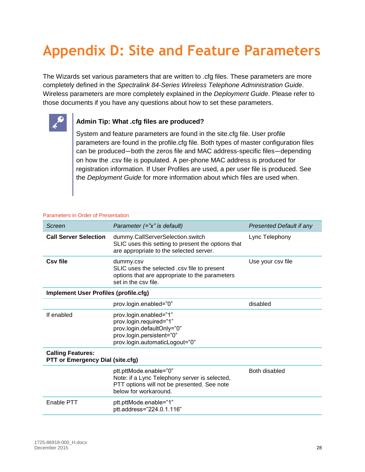# <span id="page-27-0"></span>**Appendix D: Site and Feature Parameters**

The Wizards set various parameters that are written to .cfg files. These parameters are more completely defined in the *Spectralink 84-Series Wireless Telephone Administration Guide*. Wireless parameters are more completely explained in the *Deployment Guide*. Please refer to those documents if you have any questions about how to set these parameters.



#### **Admin Tip: What .cfg files are produced?**

System and feature parameters are found in the site.cfg file. User profile parameters are found in the profile.cfg file. Both types of master configuration files can be produced—both the zeros file and MAC address-specific files—depending on how the .csv file is populated. A per-phone MAC address is produced for registration information. If User Profiles are used, a per user file is produced. See the *Deployment Guide* for more information about which files are used when.

#### Parameters in Order of Presentation

| Screen                                                              | Parameter (="x" is default)                                                                                                                     | Presented Default if any |  |
|---------------------------------------------------------------------|-------------------------------------------------------------------------------------------------------------------------------------------------|--------------------------|--|
| <b>Call Server Selection</b>                                        | dummy.CallServerSelection.switch<br>SLIC uses this setting to present the options that<br>are appropriate to the selected server.               | Lync Telephony           |  |
| <b>Csv file</b>                                                     | dummy.csv<br>SLIC uses the selected .csv file to present<br>options that are appropriate to the parameters<br>set in the csv file.              | Use your csv file        |  |
| <b>Implement User Profiles (profile.cfg)</b>                        |                                                                                                                                                 |                          |  |
|                                                                     | prov.login.enabled="0"                                                                                                                          | disabled                 |  |
| If enabled                                                          | prov.login.enabled="1"<br>prov.login.required="1"<br>prov.login.defaultOnly="0"<br>prov.login.persistent="0"<br>prov.login.automaticLogout="0"  |                          |  |
| <b>Calling Features:</b><br><b>PTT or Emergency Dial (site.cfg)</b> |                                                                                                                                                 |                          |  |
|                                                                     | ptt.pttMode.enable="0"<br>Note: if a Lync Telephony server is selected,<br>PTT options will not be presented. See note<br>below for workaround. | Both disabled            |  |
| Enable PTT                                                          | ptt.pttMode.enable="1"<br>ptt.address="224.0.1.116"                                                                                             |                          |  |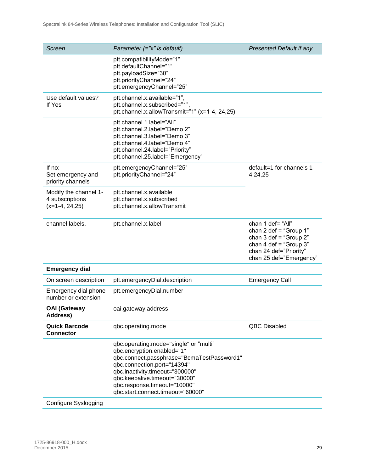| Screen                                                        | Parameter (="x" is default)                                                                                                                                                                                                                                                                | Presented Default if any                                                                                                                                       |
|---------------------------------------------------------------|--------------------------------------------------------------------------------------------------------------------------------------------------------------------------------------------------------------------------------------------------------------------------------------------|----------------------------------------------------------------------------------------------------------------------------------------------------------------|
|                                                               | ptt.compatibilityMode="1"<br>ptt.defaultChannel="1"<br>ptt.payloadSize="30"<br>ptt.priorityChannel="24"<br>ptt.emergencyChannel="25"                                                                                                                                                       |                                                                                                                                                                |
| Use default values?<br>If Yes                                 | ptt.channel.x.available="1",<br>ptt.channel.x.subscribed="1",<br>ptt.channel.x.allowTransmit="1" (x=1-4, 24,25)                                                                                                                                                                            |                                                                                                                                                                |
|                                                               | ptt.channel.1.label="All"<br>ptt.channel.2.label="Demo 2"<br>ptt.channel.3.label="Demo 3"<br>ptt.channel.4.label="Demo 4"<br>ptt.channel.24.label="Priority"<br>ptt.channel.25.label="Emergency"                                                                                           |                                                                                                                                                                |
| If no:<br>Set emergency and<br>priority channels              | ptt.emergencyChannel="25"<br>ptt.priorityChannel="24"                                                                                                                                                                                                                                      | default=1 for channels 1-<br>4,24,25                                                                                                                           |
| Modify the channel 1-<br>4 subscriptions<br>$(x=1-4, 24, 25)$ | ptt.channel.x.available<br>ptt.channel.x.subscribed<br>ptt.channel.x.allowTransmit                                                                                                                                                                                                         |                                                                                                                                                                |
| channel labels.                                               | ptt.channel.x.label                                                                                                                                                                                                                                                                        | chan 1 def= "All"<br>chan $2$ def = "Group 1"<br>chan $3$ def = "Group $2$ "<br>chan 4 def = "Group $3$ "<br>chan 24 def="Priority"<br>chan 25 def="Emergency" |
| <b>Emergency dial</b>                                         |                                                                                                                                                                                                                                                                                            |                                                                                                                                                                |
| On screen description                                         | ptt.emergencyDial.description                                                                                                                                                                                                                                                              | <b>Emergency Call</b>                                                                                                                                          |
| Emergency dial phone<br>number or extension                   | ptt.emergencyDial.number                                                                                                                                                                                                                                                                   |                                                                                                                                                                |
| <b>OAI (Gateway</b><br><b>Address)</b>                        | oai.gateway.address                                                                                                                                                                                                                                                                        |                                                                                                                                                                |
| <b>Quick Barcode</b><br><b>Connector</b>                      | qbc.operating.mode                                                                                                                                                                                                                                                                         | <b>QBC Disabled</b>                                                                                                                                            |
| <b>Configure Syslogging</b>                                   | qbc.operating.mode="single" or "multi"<br>qbc.encryption.enabled="1"<br>qbc.connect.passphrase="BcmaTestPassword1"<br>qbc.connection.port="14394"<br>qbc.inactivity.timeout="300000"<br>qbc.keepalive.timeout="30000"<br>qbc.response.timeout="10000"<br>qbc.start.connect.timeout="60000" |                                                                                                                                                                |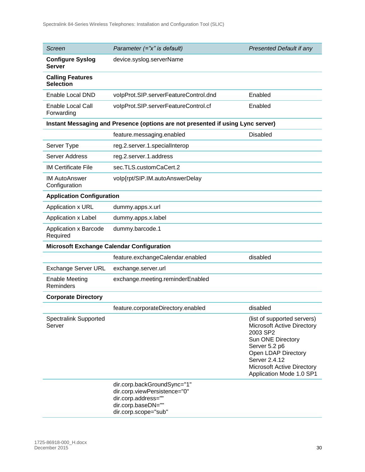| Screen                                      | Parameter $(=\,x\,$ " is default)                                                                                                | <b>Presented Default if any</b>                                                                                                                                                                                             |
|---------------------------------------------|----------------------------------------------------------------------------------------------------------------------------------|-----------------------------------------------------------------------------------------------------------------------------------------------------------------------------------------------------------------------------|
| <b>Configure Syslog</b><br><b>Server</b>    | device.syslog.serverName                                                                                                         |                                                                                                                                                                                                                             |
| <b>Calling Features</b><br><b>Selection</b> |                                                                                                                                  |                                                                                                                                                                                                                             |
| <b>Enable Local DND</b>                     | volpProt.SIP.serverFeatureControl.dnd                                                                                            | Enabled                                                                                                                                                                                                                     |
| <b>Enable Local Call</b><br>Forwarding      | volpProt.SIP.serverFeatureControl.cf                                                                                             | Enabled                                                                                                                                                                                                                     |
|                                             | Instant Messaging and Presence (options are not presented if using Lync server)                                                  |                                                                                                                                                                                                                             |
|                                             | feature.messaging.enabled                                                                                                        | <b>Disabled</b>                                                                                                                                                                                                             |
| Server Type                                 | reg.2.server.1.specialInterop                                                                                                    |                                                                                                                                                                                                                             |
| Server Address                              | reg.2.server.1.address                                                                                                           |                                                                                                                                                                                                                             |
| <b>IM Certificate File</b>                  | sec.TLS.customCaCert.2                                                                                                           |                                                                                                                                                                                                                             |
| <b>IM AutoAnswer</b><br>Configuration       | volp{rpt/SIP.IM.autoAnswerDelay                                                                                                  |                                                                                                                                                                                                                             |
| <b>Application Configuration</b>            |                                                                                                                                  |                                                                                                                                                                                                                             |
| <b>Application x URL</b>                    | dummy.apps.x.url                                                                                                                 |                                                                                                                                                                                                                             |
| Application x Label                         | dummy.apps.x.label                                                                                                               |                                                                                                                                                                                                                             |
| Application x Barcode<br>Required           | dummy.barcode.1                                                                                                                  |                                                                                                                                                                                                                             |
|                                             | <b>Microsoft Exchange Calendar Configuration</b>                                                                                 |                                                                                                                                                                                                                             |
|                                             | feature.exchangeCalendar.enabled                                                                                                 | disabled                                                                                                                                                                                                                    |
| <b>Exchange Server URL</b>                  | exchange.server.url                                                                                                              |                                                                                                                                                                                                                             |
| <b>Enable Meeting</b><br>Reminders          | exchange.meeting.reminderEnabled                                                                                                 |                                                                                                                                                                                                                             |
| <b>Corporate Directory</b>                  |                                                                                                                                  |                                                                                                                                                                                                                             |
|                                             | feature.corporateDirectory.enabled                                                                                               | disabled                                                                                                                                                                                                                    |
| <b>Spectralink Supported</b><br>Server      |                                                                                                                                  | (list of supported servers)<br><b>Microsoft Active Directory</b><br>2003 SP2<br>Sun ONE Directory<br>Server 5.2 p6<br>Open LDAP Directory<br>Server 2.4.12<br><b>Microsoft Active Directory</b><br>Application Mode 1.0 SP1 |
|                                             | dir.corp.backGroundSync="1"<br>dir.corp.viewPersistence="0"<br>dir.corp.address=""<br>dir.corp.baseDN=""<br>dir.corp.scope="sub" |                                                                                                                                                                                                                             |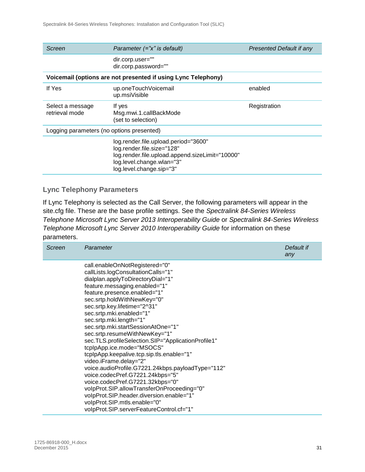| Screen                                    | Parameter $(=\,x\,$ " is default)                                                                                                                                              | Presented Default if any |
|-------------------------------------------|--------------------------------------------------------------------------------------------------------------------------------------------------------------------------------|--------------------------|
|                                           | dir.corp.user=""<br>dir.corp.password=""                                                                                                                                       |                          |
|                                           | Voicemail (options are not presented if using Lync Telephony)                                                                                                                  |                          |
| If Yes                                    | up.oneTouchVoicemail<br>up.msiVisible                                                                                                                                          | enabled                  |
| Select a message<br>retrieval mode        | If yes<br>Msg.mwi.1.callBackMode<br>(set to selection)                                                                                                                         | Registration             |
| Logging parameters (no options presented) |                                                                                                                                                                                |                          |
|                                           | log.render.file.upload.period="3600"<br>log.render.file.size="128"<br>log.render.file.upload.append.sizeLimit="10000"<br>log.level.change.wlan="3"<br>log.level.change.sip="3" |                          |

#### <span id="page-30-0"></span>**Lync Telephony Parameters**

If Lync Telephony is selected as the Call Server, the following parameters will appear in the site.cfg file. These are the base profile settings. See the *Spectralink 84-Series Wireless Telephone Microsoft Lync Server 2013 Interoperability Guide* or *Spectralink 84-Series Wireless Telephone Microsoft Lync Server 2010 Interoperability Guide* for information on these parameters.

| Screen | Parameter                                                                                                                                                                                                                                                                                                                                                                                                                                                                                                                                                                                                                                                                                                                                                                                                                            | Default if<br>any |
|--------|--------------------------------------------------------------------------------------------------------------------------------------------------------------------------------------------------------------------------------------------------------------------------------------------------------------------------------------------------------------------------------------------------------------------------------------------------------------------------------------------------------------------------------------------------------------------------------------------------------------------------------------------------------------------------------------------------------------------------------------------------------------------------------------------------------------------------------------|-------------------|
|        | call.enableOnNotRegistered="0"<br>callLists.logConsultationCalls="1"<br>dialplan.applyToDirectoryDial="1"<br>feature.messaging.enabled="1"<br>feature.presence.enabled="1"<br>sec.srtp.holdWithNewKey="0"<br>sec.srtp.key.lifetime="2^31"<br>sec.srtp.mki.enabled="1"<br>sec.srtp.mki.length="1"<br>sec.srtp.mki.startSessionAtOne="1"<br>sec.srtp.resumeWithNewKey="1"<br>sec.TLS.profileSelection.SIP="ApplicationProfile1"<br>tcplpApp.ice.mode="MSOCS"<br>tcplpApp.keepalive.tcp.sip.tls.enable="1"<br>video.iFrame.delay="2"<br>voice.audioProfile.G7221.24kbps.payloadType="112"<br>voice.codecPref.G7221.24kbps="5"<br>voice.codecPref.G7221.32kbps="0"<br>volpProt.SIP.allowTransferOnProceeding="0"<br>volpProt.SIP.header.diversion.enable="1"<br>volpProt.SIP.mtls.enable="0"<br>volpProt.SIP.serverFeatureControl.cf="1" |                   |